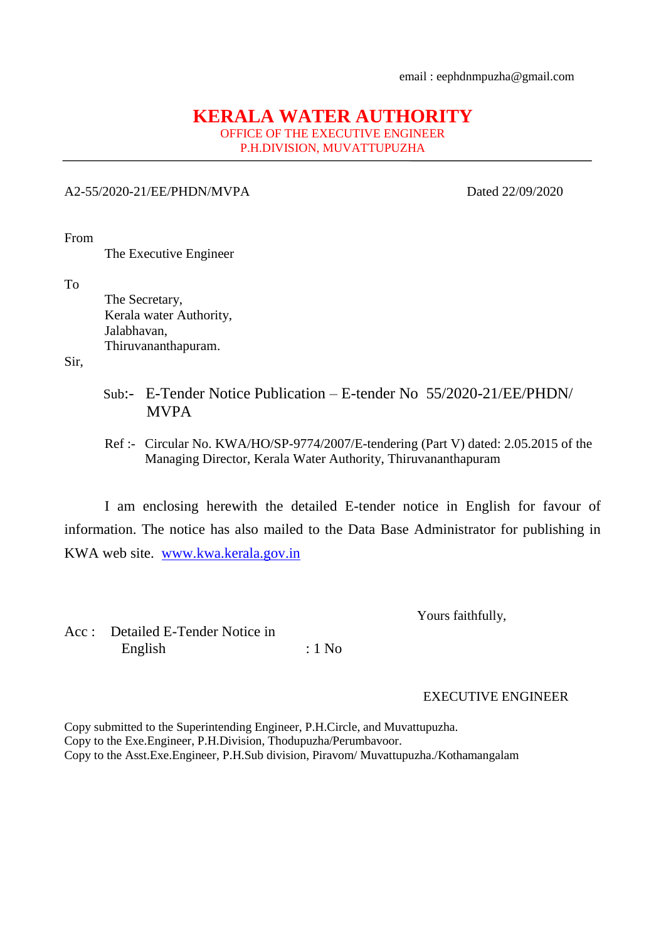## **KERALA WATER AUTHORITY** OFFICE OF THE EXECUTIVE ENGINEER

P.H.DIVISION, MUVATTUPUZHA

## A2-55/2020-21/EE/PHDN/MVPA Dated 22/09/2020

From

The Executive Engineer

To

 The Secretary, Kerala water Authority, Jalabhavan, Thiruvananthapuram.

Sir,

- Sub:- E-Tender Notice Publication E-tender No 55/2020-21/EE/PHDN/ MVPA
- Ref :- Circular No. KWA/HO/SP-9774/2007/E-tendering (Part V) dated: 2.05.2015 of the Managing Director, Kerala Water Authority, Thiruvananthapuram

I am enclosing herewith the detailed E-tender notice in English for favour of information. The notice has also mailed to the Data Base Administrator for publishing in KWA web site. [www.kwa.kerala.gov.in](http://www.kwa.kerala.gov.in/)

Yours faithfully,

Acc : Detailed E-Tender Notice in English : 1 No

EXECUTIVE ENGINEER

Copy submitted to the Superintending Engineer, P.H.Circle, and Muvattupuzha. Copy to the Exe.Engineer, P.H.Division, Thodupuzha/Perumbavoor. Copy to the Asst.Exe.Engineer, P.H.Sub division, Piravom/ Muvattupuzha./Kothamangalam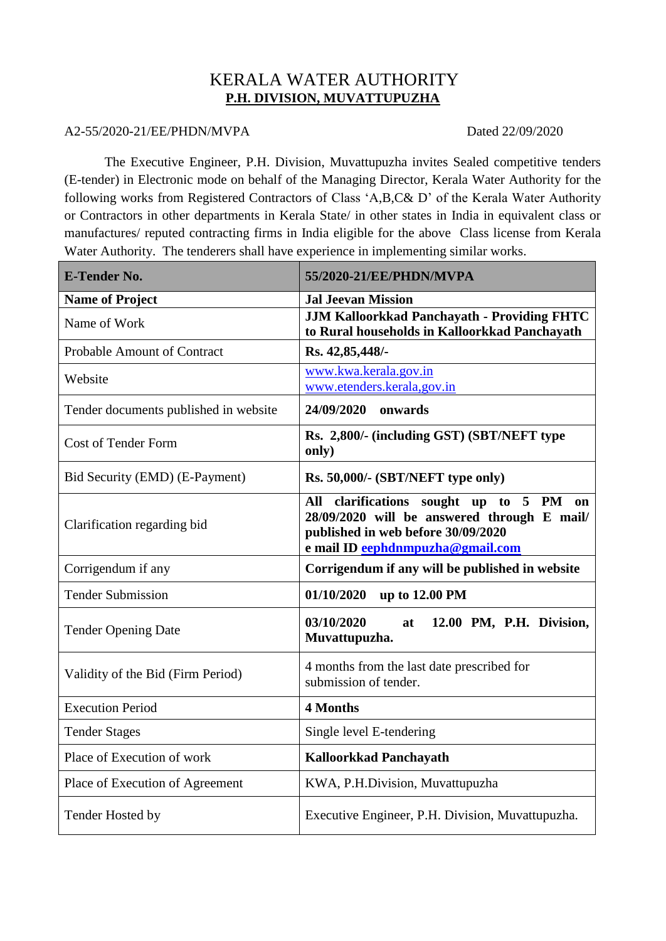## KERALA WATER AUTHORITY **P.H. DIVISION, MUVATTUPUZHA**

## A2-55/2020-21/EE/PHDN/MVPA Dated 22/09/2020

The Executive Engineer, P.H. Division, Muvattupuzha invites Sealed competitive tenders (E-tender) in Electronic mode on behalf of the Managing Director, Kerala Water Authority for the following works from Registered Contractors of Class 'A,B,C& D' of the Kerala Water Authority or Contractors in other departments in Kerala State/ in other states in India in equivalent class or manufactures/ reputed contracting firms in India eligible for the above Class license from Kerala Water Authority. The tenderers shall have experience in implementing similar works.

| <b>E-Tender No.</b>                   | 55/2020-21/EE/PHDN/MVPA                                                                                                                                          |
|---------------------------------------|------------------------------------------------------------------------------------------------------------------------------------------------------------------|
| <b>Name of Project</b>                | <b>Jal Jeevan Mission</b>                                                                                                                                        |
| Name of Work                          | <b>JJM Kalloorkkad Panchayath - Providing FHTC</b><br>to Rural households in Kalloorkkad Panchayath                                                              |
| <b>Probable Amount of Contract</b>    | Rs. 42,85,448/-                                                                                                                                                  |
| Website                               | www.kwa.kerala.gov.in<br>www.etenders.kerala.gov.in                                                                                                              |
| Tender documents published in website | 24/09/2020 onwards                                                                                                                                               |
| <b>Cost of Tender Form</b>            | Rs. 2,800/- (including GST) (SBT/NEFT type<br>only)                                                                                                              |
| Bid Security (EMD) (E-Payment)        | Rs. 50,000/- (SBT/NEFT type only)                                                                                                                                |
| Clarification regarding bid           | All clarifications sought up to 5 PM on<br>28/09/2020 will be answered through E mail/<br>published in web before 30/09/2020<br>e mail ID eephdnmpuzha@gmail.com |
| Corrigendum if any                    | Corrigendum if any will be published in website                                                                                                                  |
| <b>Tender Submission</b>              | 01/10/2020<br>up to 12.00 PM                                                                                                                                     |
| <b>Tender Opening Date</b>            | 03/10/2020<br>12.00 PM, P.H. Division,<br>at<br>Muvattupuzha.                                                                                                    |
| Validity of the Bid (Firm Period)     | 4 months from the last date prescribed for<br>submission of tender.                                                                                              |
| <b>Execution Period</b>               | <b>4 Months</b>                                                                                                                                                  |
| <b>Tender Stages</b>                  | Single level E-tendering                                                                                                                                         |
| Place of Execution of work            | <b>Kalloorkkad Panchayath</b>                                                                                                                                    |
| Place of Execution of Agreement       | KWA, P.H.Division, Muvattupuzha                                                                                                                                  |
| Tender Hosted by                      | Executive Engineer, P.H. Division, Muvattupuzha.                                                                                                                 |